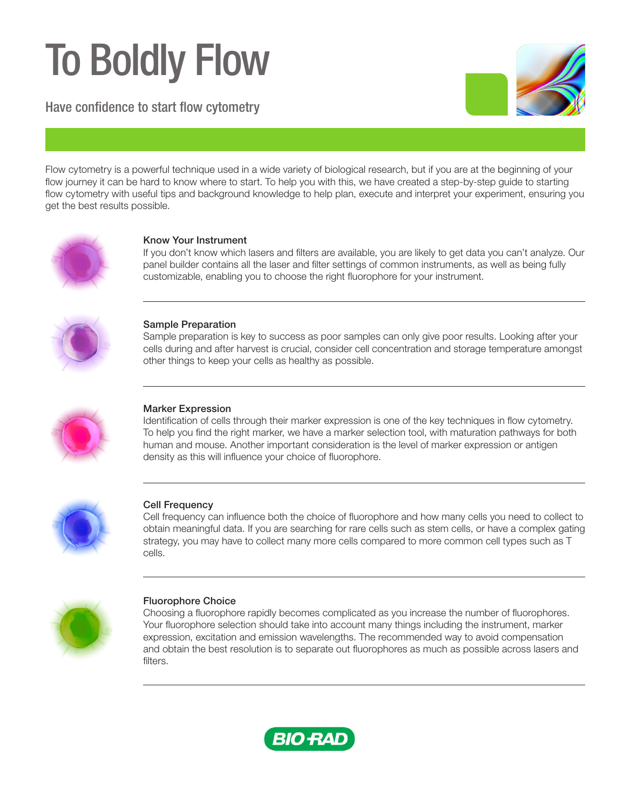# To Boldly Flow

Have confidence to start flow cytometry



Flow cytometry is a powerful technique used in a wide variety of biological research, but if you are at the beginning of your flow journey it can be hard to know where to start. To help you with this, we have created a step-by-step guide to starting flow cytometry with useful tips and background knowledge to help plan, execute and interpret your experiment, ensuring you get the best results possible.



# Know Your Instrument

If you don't know which lasers and filters are available, you are likely to get data you can't analyze. Our panel builder contains all the laser and filter settings of common instruments, as well as being fully customizable, enabling you to choose the right fluorophore for your instrument.



# Sample Preparation

Sample preparation is key to success as poor samples can only give poor results. Looking after your cells during and after harvest is crucial, consider cell concentration and storage temperature amongst other things to keep your cells as healthy as possible.



# Marker Expression

Identification of cells through their marker expression is one of the key techniques in flow cytometry. To help you find the right marker, we have a marker selection tool, with maturation pathways for both human and mouse. Another important consideration is the level of marker expression or antigen density as this will influence your choice of fluorophore.



# **Cell Frequency**

Cell frequency can influence both the choice of fluorophore and how many cells you need to collect to obtain meaningful data. If you are searching for rare cells such as stem cells, or have a complex gating strategy, you may have to collect many more cells compared to more common cell types such as T cells.



# Fluorophore Choice

Choosing a fluorophore rapidly becomes complicated as you increase the number of fluorophores. Your fluorophore selection should take into account many things including the instrument, marker expression, excitation and emission wavelengths. The recommended way to avoid compensation and obtain the best resolution is to separate out fluorophores as much as possible across lasers and filters.